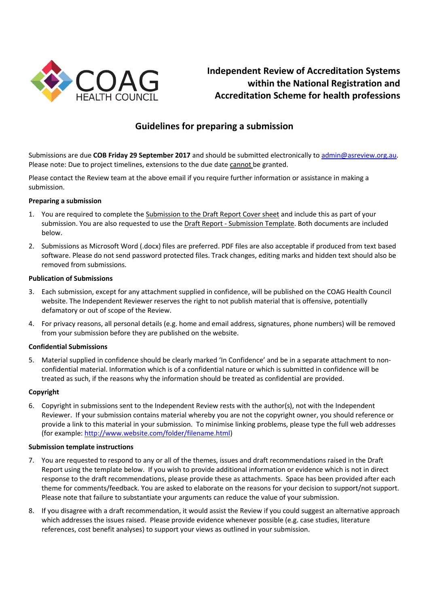

# **Independent Review of Accreditation Systems within the National Registration and Accreditation Scheme for health professions**

# **Guidelines for preparing a submission**

Submissions are due **COB Friday 29 September 2017** and should be submitted electronically to [admin@asreview.org.au.](mailto:admin@asreview.org.au) Please note: Due to project timelines, extensions to the due date cannot be granted.

Please contact the Review team at the above email if you require further information or assistance in making a submission.

#### **Preparing a submission**

- 1. You are required to complete the Submission to the Draft Report Cover sheet and include this as part of your submission. You are also requested to use the Draft Report - Submission Template. Both documents are included below.
- 2. Submissions as Microsoft Word (.docx) files are preferred. PDF files are also acceptable if produced from text based software. Please do not send password protected files. Track changes, editing marks and hidden text should also be removed from submissions.

#### **Publication of Submissions**

- 3. Each submission, except for any attachment supplied in confidence, will be published on the COAG Health Council website. The Independent Reviewer reserves the right to not publish material that is offensive, potentially defamatory or out of scope of the Review.
- 4. For privacy reasons, all personal details (e.g. home and email address, signatures, phone numbers) will be removed from your submission before they are published on the website.

#### **Confidential Submissions**

5. Material supplied in confidence should be clearly marked 'In Confidence' and be in a separate attachment to nonconfidential material. Information which is of a confidential nature or which is submitted in confidence will be treated as such, if the reasons why the information should be treated as confidential are provided.

#### **Copyright**

6. Copyright in submissions sent to the Independent Review rests with the author(s), not with the Independent Reviewer. If your submission contains material whereby you are not the copyright owner, you should reference or provide a link to this material in your submission. To minimise linking problems, please type the full web addresses (for example: [http://www.website.com/folder/filename.html\)](http://www.website.com/folder/filename.html)

#### **Submission template instructions**

- 7. You are requested to respond to any or all of the themes, issues and draft recommendations raised in the Draft Report using the template below. If you wish to provide additional information or evidence which is not in direct response to the draft recommendations, please provide these as attachments. Space has been provided after each theme for comments/feedback. You are asked to elaborate on the reasons for your decision to support/not support. Please note that failure to substantiate your arguments can reduce the value of your submission.
- 8. If you disagree with a draft recommendation, it would assist the Review if you could suggest an alternative approach which addresses the issues raised. Please provide evidence whenever possible (e.g. case studies, literature references, cost benefit analyses) to support your views as outlined in your submission.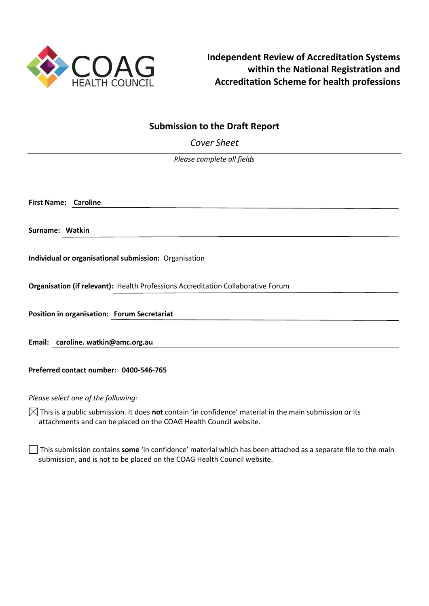

# **Submission to the Draft Report**

*Cover Sheet*

*Please complete all fields* 

**First Name: Caroline**

**Surname: Watkin**

**Individual or organisational submission:** Organisation

**Organisation (if relevant):** Health Professions Accreditation Collaborative Forum

**Position in organisation: Forum Secretariat**

**Email: caroline. watkin@amc.org.au**

**Preferred contact number: 0400-546-765**

*Please select one of the following:*

 $\boxtimes$  This is a public submission. It does **not** contain 'in confidence' material in the main submission or its attachments and can be placed on the COAG Health Council website.

This submission contains **some** 'in confidence' material which has been attached as a separate file to the main submission, and is not to be placed on the COAG Health Council website.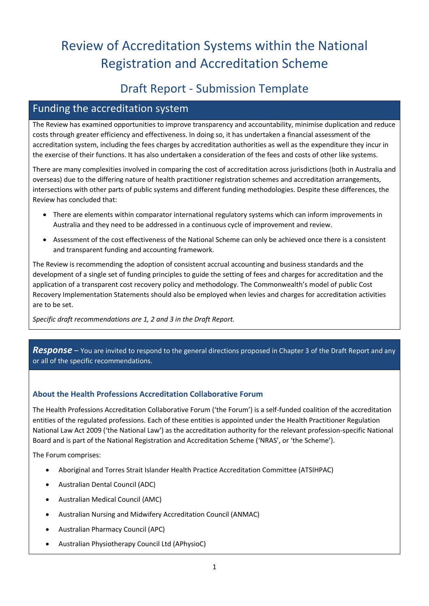# Review of Accreditation Systems within the National Registration and Accreditation Scheme

# Draft Report - Submission Template

# Funding the accreditation system

The Review has examined opportunities to improve transparency and accountability, minimise duplication and reduce costs through greater efficiency and effectiveness. In doing so, it has undertaken a financial assessment of the accreditation system, including the fees charges by accreditation authorities as well as the expenditure they incur in the exercise of their functions. It has also undertaken a consideration of the fees and costs of other like systems.

There are many complexities involved in comparing the cost of accreditation across jurisdictions (both in Australia and overseas) due to the differing nature of health practitioner registration schemes and accreditation arrangements, intersections with other parts of public systems and different funding methodologies. Despite these differences, the Review has concluded that:

- There are elements within comparator international regulatory systems which can inform improvements in Australia and they need to be addressed in a continuous cycle of improvement and review.
- Assessment of the cost effectiveness of the National Scheme can only be achieved once there is a consistent and transparent funding and accounting framework.

The Review is recommending the adoption of consistent accrual accounting and business standards and the development of a single set of funding principles to guide the setting of fees and charges for accreditation and the application of a transparent cost recovery policy and methodology. The Commonwealth's model of public Cost Recovery Implementation Statements should also be employed when levies and charges for accreditation activities are to be set.

*Specific draft recommendations are 1, 2 and 3 in the Draft Report.*

# *Response –* You are invited to respond to the general directions proposed in Chapter 3 of the Draft Report and any or all of the specific recommendations.

# **About the Health Professions Accreditation Collaborative Forum**

The Health Professions Accreditation Collaborative Forum ('the Forum') is a self-funded coalition of the accreditation entities of the regulated professions. Each of these entities is appointed under the Health Practitioner Regulation National Law Act 2009 ('the National Law') as the accreditation authority for the relevant profession-specific National Board and is part of the National Registration and Accreditation Scheme ('NRAS', or 'the Scheme').

The Forum comprises:

- Aboriginal and Torres Strait Islander Health Practice Accreditation Committee (ATSIHPAC)
- Australian Dental Council (ADC)
- Australian Medical Council (AMC)
- Australian Nursing and Midwifery Accreditation Council (ANMAC)
- Australian Pharmacy Council (APC)
- Australian Physiotherapy Council Ltd (APhysioC)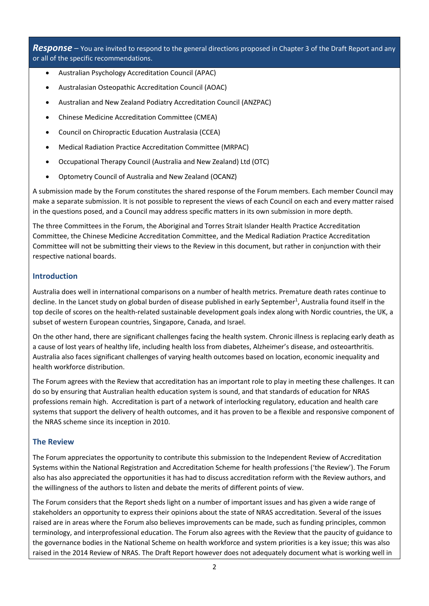*Response –* You are invited to respond to the general directions proposed in Chapter 3 of the Draft Report and any or all of the specific recommendations.

- Australian Psychology Accreditation Council (APAC)
- Australasian Osteopathic Accreditation Council (AOAC)
- Australian and New Zealand Podiatry Accreditation Council (ANZPAC)
- Chinese Medicine Accreditation Committee (CMEA)
- Council on Chiropractic Education Australasia (CCEA)
- Medical Radiation Practice Accreditation Committee (MRPAC)
- Occupational Therapy Council (Australia and New Zealand) Ltd (OTC)
- Optometry Council of Australia and New Zealand (OCANZ)

A submission made by the Forum constitutes the shared response of the Forum members. Each member Council may make a separate submission. It is not possible to represent the views of each Council on each and every matter raised in the questions posed, and a Council may address specific matters in its own submission in more depth.

The three Committees in the Forum, the Aboriginal and Torres Strait Islander Health Practice Accreditation Committee, the Chinese Medicine Accreditation Committee, and the Medical Radiation Practice Accreditation Committee will not be submitting their views to the Review in this document, but rather in conjunction with their respective national boards.

### **Introduction**

Australia does well in international comparisons on a number of health metrics. Premature death rates continue to decline. In the Lancet study on global burden of disease published in early September<sup>1</sup>, Australia found itself in the top decile of scores on the health-related sustainable development goals index along with Nordic countries, the UK, a subset of western European countries, Singapore, Canada, and Israel.

On the other hand, there are significant challenges facing the health system. Chronic illness is replacing early death as a cause of lost years of healthy life, including health loss from diabetes, Alzheimer's disease, and osteoarthritis. Australia also faces significant challenges of varying health outcomes based on location, economic inequality and health workforce distribution.

The Forum agrees with the Review that accreditation has an important role to play in meeting these challenges. It can do so by ensuring that Australian health education system is sound, and that standards of education for NRAS professions remain high. Accreditation is part of a network of interlocking regulatory, education and health care systems that support the delivery of health outcomes, and it has proven to be a flexible and responsive component of the NRAS scheme since its inception in 2010.

### **The Review**

The Forum appreciates the opportunity to contribute this submission to the Independent Review of Accreditation Systems within the National Registration and Accreditation Scheme for health professions ('the Review'). The Forum also has also appreciated the opportunities it has had to discuss accreditation reform with the Review authors, and the willingness of the authors to listen and debate the merits of different points of view.

The Forum considers that the Report sheds light on a number of important issues and has given a wide range of stakeholders an opportunity to express their opinions about the state of NRAS accreditation. Several of the issues raised are in areas where the Forum also believes improvements can be made, such as funding principles, common terminology, and interprofessional education. The Forum also agrees with the Review that the paucity of guidance to the governance bodies in the National Scheme on health workforce and system priorities is a key issue; this was also raised in the 2014 Review of NRAS. The Draft Report however does not adequately document what is working well in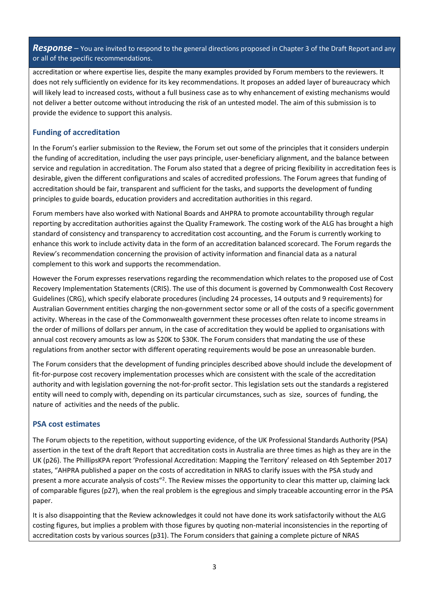*Response –* You are invited to respond to the general directions proposed in Chapter 3 of the Draft Report and any or all of the specific recommendations.

accreditation or where expertise lies, despite the many examples provided by Forum members to the reviewers. It does not rely sufficiently on evidence for its key recommendations. It proposes an added layer of bureaucracy which will likely lead to increased costs, without a full business case as to why enhancement of existing mechanisms would not deliver a better outcome without introducing the risk of an untested model. The aim of this submission is to provide the evidence to support this analysis.

### **Funding of accreditation**

In the Forum's earlier submission to the Review, the Forum set out some of the principles that it considers underpin the funding of accreditation, including the user pays principle, user-beneficiary alignment, and the balance between service and regulation in accreditation. The Forum also stated that a degree of pricing flexibility in accreditation fees is desirable, given the different configurations and scales of accredited professions. The Forum agrees that funding of accreditation should be fair, transparent and sufficient for the tasks, and supports the development of funding principles to guide boards, education providers and accreditation authorities in this regard.

Forum members have also worked with National Boards and AHPRA to promote accountability through regular reporting by accreditation authorities against the Quality Framework. The costing work of the ALG has brought a high standard of consistency and transparency to accreditation cost accounting, and the Forum is currently working to enhance this work to include activity data in the form of an accreditation balanced scorecard. The Forum regards the Review's recommendation concerning the provision of activity information and financial data as a natural complement to this work and supports the recommendation.

However the Forum expresses reservations regarding the recommendation which relates to the proposed use of Cost Recovery Implementation Statements (CRIS). The use of this document is governed by Commonwealth Cost Recovery Guidelines (CRG), which specify elaborate procedures (including 24 processes, 14 outputs and 9 requirements) for Australian Government entities charging the non-government sector some or all of the costs of a specific government activity. Whereas in the case of the Commonwealth government these processes often relate to income streams in the order of millions of dollars per annum, in the case of accreditation they would be applied to organisations with annual cost recovery amounts as low as \$20K to \$30K. The Forum considers that mandating the use of these regulations from another sector with different operating requirements would be pose an unreasonable burden.

The Forum considers that the development of funding principles described above should include the development of fit-for-purpose cost recovery implementation processes which are consistent with the scale of the accreditation authority and with legislation governing the not-for-profit sector. This legislation sets out the standards a registered entity will need to comply with, depending on its particular circumstances, such as size, sources of funding, the nature of activities and the needs of the public.

#### **PSA cost estimates**

The Forum objects to the repetition, without supporting evidence, of the UK Professional Standards Authority (PSA) assertion in the text of the draft Report that accreditation costs in Australia are three times as high as they are in the UK (p26). The PhillipsKPA report 'Professional Accreditation: Mapping the Territory' released on 4th September 2017 states, "AHPRA published a paper on the costs of accreditation in NRAS to clarify issues with the PSA study and present a more accurate analysis of costs"<sup>2</sup>. The Review misses the opportunity to clear this matter up, claiming lack of comparable figures (p27), when the real problem is the egregious and simply traceable accounting error in the PSA paper.

It is also disappointing that the Review acknowledges it could not have done its work satisfactorily without the ALG costing figures, but implies a problem with those figures by quoting non-material inconsistencies in the reporting of accreditation costs by various sources (p31). The Forum considers that gaining a complete picture of NRAS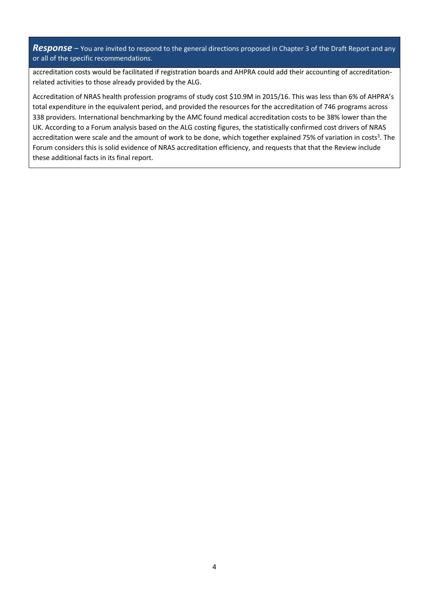*Response –* You are invited to respond to the general directions proposed in Chapter 3 of the Draft Report and any or all of the specific recommendations.

accreditation costs would be facilitated if registration boards and AHPRA could add their accounting of accreditationrelated activities to those already provided by the ALG.

Accreditation of NRAS health profession programs of study cost \$10.9M in 2015/16. This was less than 6% of AHPRA's total expenditure in the equivalent period, and provided the resources for the accreditation of 746 programs across 338 providers. International benchmarking by the AMC found medical accreditation costs to be 38% lower than the UK. According to a Forum analysis based on the ALG costing figures, the statistically confirmed cost drivers of NRAS accreditation were scale and the amount of work to be done, which together explained 75% of variation in costs<sup>3</sup>. The Forum considers this is solid evidence of NRAS accreditation efficiency, and requests that that the Review include these additional facts in its final report.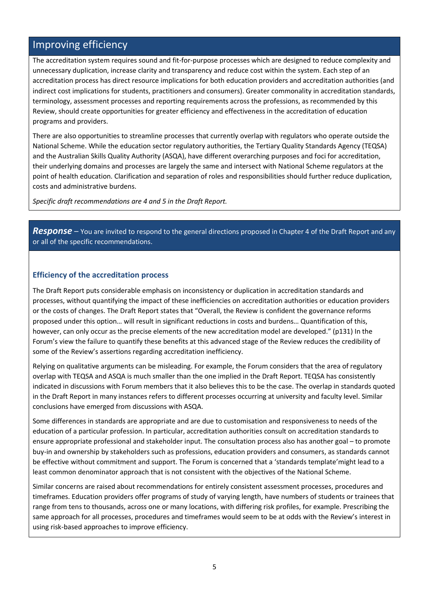# Improving efficiency

The accreditation system requires sound and fit-for-purpose processes which are designed to reduce complexity and unnecessary duplication, increase clarity and transparency and reduce cost within the system. Each step of an accreditation process has direct resource implications for both education providers and accreditation authorities (and indirect cost implications for students, practitioners and consumers). Greater commonality in accreditation standards, terminology, assessment processes and reporting requirements across the professions, as recommended by this Review, should create opportunities for greater efficiency and effectiveness in the accreditation of education programs and providers.

There are also opportunities to streamline processes that currently overlap with regulators who operate outside the National Scheme. While the education sector regulatory authorities, the Tertiary Quality Standards Agency (TEQSA) and the Australian Skills Quality Authority (ASQA), have different overarching purposes and foci for accreditation, their underlying domains and processes are largely the same and intersect with National Scheme regulators at the point of health education. Clarification and separation of roles and responsibilities should further reduce duplication, costs and administrative burdens.

*Specific draft recommendations are 4 and 5 in the Draft Report.*

*Response –* You are invited to respond to the general directions proposed in Chapter 4 of the Draft Report and any or all of the specific recommendations.

#### **Efficiency of the accreditation process**

The Draft Report puts considerable emphasis on inconsistency or duplication in accreditation standards and processes, without quantifying the impact of these inefficiencies on accreditation authorities or education providers or the costs of changes. The Draft Report states that "Overall, the Review is confident the governance reforms proposed under this option… will result in significant reductions in costs and burdens… Quantification of this, however, can only occur as the precise elements of the new accreditation model are developed." (p131) In the Forum's view the failure to quantify these benefits at this advanced stage of the Review reduces the credibility of some of the Review's assertions regarding accreditation inefficiency.

Relying on qualitative arguments can be misleading. For example, the Forum considers that the area of regulatory overlap with TEQSA and ASQA is much smaller than the one implied in the Draft Report. TEQSA has consistently indicated in discussions with Forum members that it also believes this to be the case. The overlap in standards quoted in the Draft Report in many instances refers to different processes occurring at university and faculty level. Similar conclusions have emerged from discussions with ASQA.

Some differences in standards are appropriate and are due to customisation and responsiveness to needs of the education of a particular profession. In particular, accreditation authorities consult on accreditation standards to ensure appropriate professional and stakeholder input. The consultation process also has another goal – to promote buy-in and ownership by stakeholders such as professions, education providers and consumers, as standards cannot be effective without commitment and support. The Forum is concerned that a 'standards template'might lead to a least common denominator approach that is not consistent with the objectives of the National Scheme.

Similar concerns are raised about recommendations for entirely consistent assessment processes, procedures and timeframes. Education providers offer programs of study of varying length, have numbers of students or trainees that range from tens to thousands, across one or many locations, with differing risk profiles, for example. Prescribing the same approach for all processes, procedures and timeframes would seem to be at odds with the Review's interest in using risk-based approaches to improve efficiency.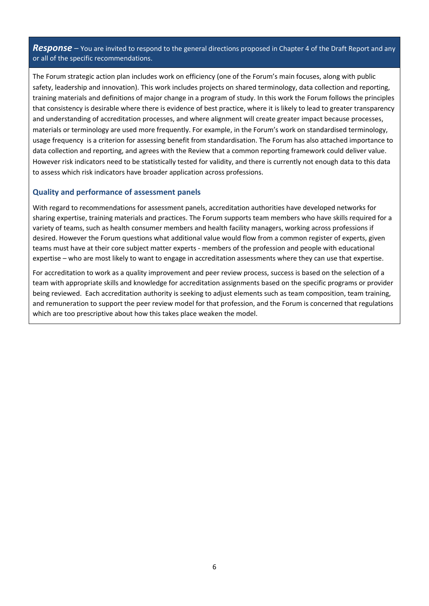*Response –* You are invited to respond to the general directions proposed in Chapter 4 of the Draft Report and any or all of the specific recommendations.

The Forum strategic action plan includes work on efficiency (one of the Forum's main focuses, along with public safety, leadership and innovation). This work includes projects on shared terminology, data collection and reporting, training materials and definitions of major change in a program of study. In this work the Forum follows the principles that consistency is desirable where there is evidence of best practice, where it is likely to lead to greater transparency and understanding of accreditation processes, and where alignment will create greater impact because processes, materials or terminology are used more frequently. For example, in the Forum's work on standardised terminology, usage frequency is a criterion for assessing benefit from standardisation. The Forum has also attached importance to data collection and reporting, and agrees with the Review that a common reporting framework could deliver value. However risk indicators need to be statistically tested for validity, and there is currently not enough data to this data to assess which risk indicators have broader application across professions.

#### **Quality and performance of assessment panels**

With regard to recommendations for assessment panels, accreditation authorities have developed networks for sharing expertise, training materials and practices. The Forum supports team members who have skills required for a variety of teams, such as health consumer members and health facility managers, working across professions if desired. However the Forum questions what additional value would flow from a common register of experts, given teams must have at their core subject matter experts - members of the profession and people with educational expertise – who are most likely to want to engage in accreditation assessments where they can use that expertise.

For accreditation to work as a quality improvement and peer review process, success is based on the selection of a team with appropriate skills and knowledge for accreditation assignments based on the specific programs or provider being reviewed. Each accreditation authority is seeking to adjust elements such as team composition, team training, and remuneration to support the peer review model for that profession, and the Forum is concerned that regulations which are too prescriptive about how this takes place weaken the model.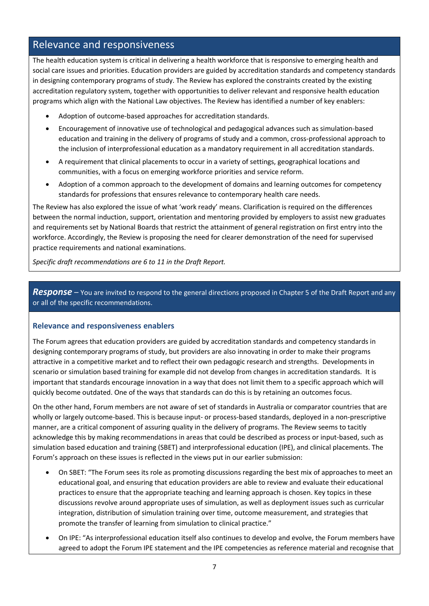# Relevance and responsiveness

The health education system is critical in delivering a health workforce that is responsive to emerging health and social care issues and priorities. Education providers are guided by accreditation standards and competency standards in designing contemporary programs of study. The Review has explored the constraints created by the existing accreditation regulatory system, together with opportunities to deliver relevant and responsive health education programs which align with the National Law objectives. The Review has identified a number of key enablers:

- Adoption of outcome-based approaches for accreditation standards.
- Encouragement of innovative use of technological and pedagogical advances such as simulation-based education and training in the delivery of programs of study and a common, cross-professional approach to the inclusion of interprofessional education as a mandatory requirement in all accreditation standards.
- A requirement that clinical placements to occur in a variety of settings, geographical locations and communities, with a focus on emerging workforce priorities and service reform.
- Adoption of a common approach to the development of domains and learning outcomes for competency standards for professions that ensures relevance to contemporary health care needs.

The Review has also explored the issue of what 'work ready' means. Clarification is required on the differences between the normal induction, support, orientation and mentoring provided by employers to assist new graduates and requirements set by National Boards that restrict the attainment of general registration on first entry into the workforce. Accordingly, the Review is proposing the need for clearer demonstration of the need for supervised practice requirements and national examinations.

*Specific draft recommendations are 6 to 11 in the Draft Report.*

**Response** – You are invited to respond to the general directions proposed in Chapter 5 of the Draft Report and any or all of the specific recommendations.

### **Relevance and responsiveness enablers**

The Forum agrees that education providers are guided by accreditation standards and competency standards in designing contemporary programs of study, but providers are also innovating in order to make their programs attractive in a competitive market and to reflect their own pedagogic research and strengths. Developments in scenario or simulation based training for example did not develop from changes in accreditation standards. It is important that standards encourage innovation in a way that does not limit them to a specific approach which will quickly become outdated. One of the ways that standards can do this is by retaining an outcomes focus.

On the other hand, Forum members are not aware of set of standards in Australia or comparator countries that are wholly or largely outcome-based. This is because input- or process-based standards, deployed in a non-prescriptive manner, are a critical component of assuring quality in the delivery of programs. The Review seems to tacitly acknowledge this by making recommendations in areas that could be described as process or input-based, such as simulation based education and training (SBET) and interprofessional education (IPE), and clinical placements. The Forum's approach on these issues is reflected in the views put in our earlier submission:

- On SBET: "The Forum sees its role as promoting discussions regarding the best mix of approaches to meet an educational goal, and ensuring that education providers are able to review and evaluate their educational practices to ensure that the appropriate teaching and learning approach is chosen. Key topics in these discussions revolve around appropriate uses of simulation, as well as deployment issues such as curricular integration, distribution of simulation training over time, outcome measurement, and strategies that promote the transfer of learning from simulation to clinical practice."
- On IPE: "As interprofessional education itself also continues to develop and evolve, the Forum members have agreed to adopt the Forum IPE statement and the IPE competencies as reference material and recognise that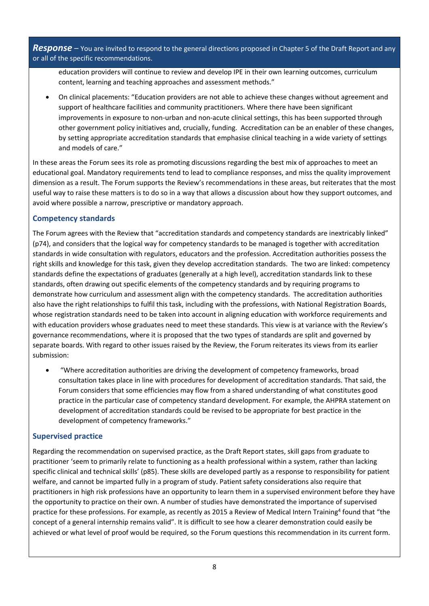*Response –* You are invited to respond to the general directions proposed in Chapter 5 of the Draft Report and any or all of the specific recommendations.

education providers will continue to review and develop IPE in their own learning outcomes, curriculum content, learning and teaching approaches and assessment methods."

 On clinical placements: "Education providers are not able to achieve these changes without agreement and support of healthcare facilities and community practitioners. Where there have been significant improvements in exposure to non-urban and non-acute clinical settings, this has been supported through other government policy initiatives and, crucially, funding. Accreditation can be an enabler of these changes, by setting appropriate accreditation standards that emphasise clinical teaching in a wide variety of settings and models of care."

In these areas the Forum sees its role as promoting discussions regarding the best mix of approaches to meet an educational goal. Mandatory requirements tend to lead to compliance responses, and miss the quality improvement dimension as a result. The Forum supports the Review's recommendations in these areas, but reiterates that the most useful way to raise these matters is to do so in a way that allows a discussion about how they support outcomes, and avoid where possible a narrow, prescriptive or mandatory approach.

# **Competency standards**

The Forum agrees with the Review that "accreditation standards and competency standards are inextricably linked" (p74), and considers that the logical way for competency standards to be managed is together with accreditation standards in wide consultation with regulators, educators and the profession. Accreditation authorities possess the right skills and knowledge for this task, given they develop accreditation standards. The two are linked: competency standards define the expectations of graduates (generally at a high level), accreditation standards link to these standards, often drawing out specific elements of the competency standards and by requiring programs to demonstrate how curriculum and assessment align with the competency standards. The accreditation authorities also have the right relationships to fulfil this task, including with the professions, with National Registration Boards, whose registration standards need to be taken into account in aligning education with workforce requirements and with education providers whose graduates need to meet these standards. This view is at variance with the Review's governance recommendations, where it is proposed that the two types of standards are split and governed by separate boards. With regard to other issues raised by the Review, the Forum reiterates its views from its earlier submission:

 "Where accreditation authorities are driving the development of competency frameworks, broad consultation takes place in line with procedures for development of accreditation standards. That said, the Forum considers that some efficiencies may flow from a shared understanding of what constitutes good practice in the particular case of competency standard development. For example, the AHPRA statement on development of accreditation standards could be revised to be appropriate for best practice in the development of competency frameworks."

# **Supervised practice**

Regarding the recommendation on supervised practice, as the Draft Report states, skill gaps from graduate to practitioner 'seem to primarily relate to functioning as a health professional within a system, rather than lacking specific clinical and technical skills' (p85). These skills are developed partly as a response to responsibility for patient welfare, and cannot be imparted fully in a program of study. Patient safety considerations also require that practitioners in high risk professions have an opportunity to learn them in a supervised environment before they have the opportunity to practice on their own. A number of studies have demonstrated the importance of supervised practice for these professions. For example, as recently as 2015 a Review of Medical Intern Training<sup>4</sup> found that "the concept of a general internship remains valid". It is difficult to see how a clearer demonstration could easily be achieved or what level of proof would be required, so the Forum questions this recommendation in its current form.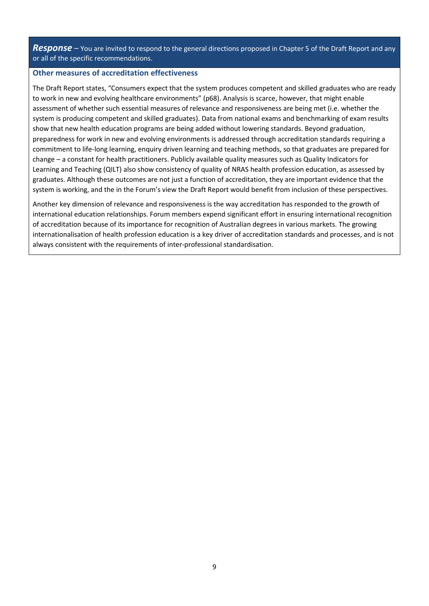*Response –* You are invited to respond to the general directions proposed in Chapter 5 of the Draft Report and any or all of the specific recommendations.

#### **Other measures of accreditation effectiveness**

The Draft Report states, "Consumers expect that the system produces competent and skilled graduates who are ready to work in new and evolving healthcare environments" (p68). Analysis is scarce, however, that might enable assessment of whether such essential measures of relevance and responsiveness are being met (i.e. whether the system is producing competent and skilled graduates). Data from national exams and benchmarking of exam results show that new health education programs are being added without lowering standards. Beyond graduation, preparedness for work in new and evolving environments is addressed through accreditation standards requiring a commitment to life-long learning, enquiry driven learning and teaching methods, so that graduates are prepared for change – a constant for health practitioners. Publicly available quality measures such as Quality Indicators for Learning and Teaching (QILT) also show consistency of quality of NRAS health profession education, as assessed by graduates. Although these outcomes are not just a function of accreditation, they are important evidence that the system is working, and the in the Forum's view the Draft Report would benefit from inclusion of these perspectives.

Another key dimension of relevance and responsiveness is the way accreditation has responded to the growth of international education relationships. Forum members expend significant effort in ensuring international recognition of accreditation because of its importance for recognition of Australian degrees in various markets. The growing internationalisation of health profession education is a key driver of accreditation standards and processes, and is not always consistent with the requirements of inter-professional standardisation.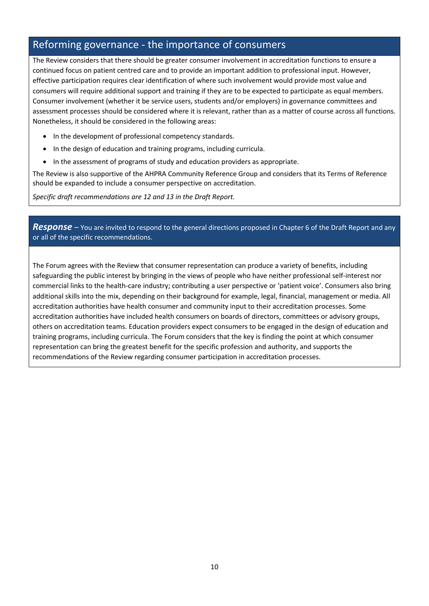# Reforming governance - the importance of consumers

The Review considers that there should be greater consumer involvement in accreditation functions to ensure a continued focus on patient centred care and to provide an important addition to professional input. However, effective participation requires clear identification of where such involvement would provide most value and consumers will require additional support and training if they are to be expected to participate as equal members. Consumer involvement (whether it be service users, students and/or employers) in governance committees and assessment processes should be considered where it is relevant, rather than as a matter of course across all functions. Nonetheless, it should be considered in the following areas:

- In the development of professional competency standards.
- In the design of education and training programs, including curricula.
- In the assessment of programs of study and education providers as appropriate.

The Review is also supportive of the AHPRA Community Reference Group and considers that its Terms of Reference should be expanded to include a consumer perspective on accreditation.

*Specific draft recommendations are 12 and 13 in the Draft Report.*

*Response –* You are invited to respond to the general directions proposed in Chapter 6 of the Draft Report and any or all of the specific recommendations.

The Forum agrees with the Review that consumer representation can produce a variety of benefits, including safeguarding the public interest by bringing in the views of people who have neither professional self-interest nor commercial links to the health‐care industry; contributing a user perspective or 'patient voice'. Consumers also bring additional skills into the mix, depending on their background for example, legal, financial, management or media. All accreditation authorities have health consumer and community input to their accreditation processes. Some accreditation authorities have included health consumers on boards of directors, committees or advisory groups, others on accreditation teams. Education providers expect consumers to be engaged in the design of education and training programs, including curricula. The Forum considers that the key is finding the point at which consumer representation can bring the greatest benefit for the specific profession and authority, and supports the recommendations of the Review regarding consumer participation in accreditation processes.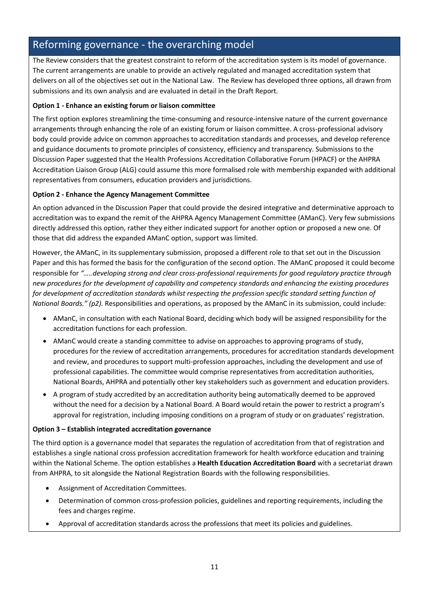# Reforming governance - the overarching model

The Review considers that the greatest constraint to reform of the accreditation system is its model of governance. The current arrangements are unable to provide an actively regulated and managed accreditation system that delivers on all of the objectives set out in the National Law. The Review has developed three options, all drawn from submissions and its own analysis and are evaluated in detail in the Draft Report.

### **Option 1 - Enhance an existing forum or liaison committee**

The first option explores streamlining the time-consuming and resource-intensive nature of the current governance arrangements through enhancing the role of an existing forum or liaison committee. A cross-professional advisory body could provide advice on common approaches to accreditation standards and processes, and develop reference and guidance documents to promote principles of consistency, efficiency and transparency. Submissions to the Discussion Paper suggested that the Health Professions Accreditation Collaborative Forum (HPACF) or the AHPRA Accreditation Liaison Group (ALG) could assume this more formalised role with membership expanded with additional representatives from consumers, education providers and jurisdictions.

### **Option 2 - Enhance the Agency Management Committee**

An option advanced in the Discussion Paper that could provide the desired integrative and determinative approach to accreditation was to expand the remit of the AHPRA Agency Management Committee (AManC). Very few submissions directly addressed this option, rather they either indicated support for another option or proposed a new one. Of those that did address the expanded AManC option, support was limited.

However, the AManC, in its supplementary submission, proposed a different role to that set out in the Discussion Paper and this has formed the basis for the configuration of the second option. The AManC proposed it could become responsible for *"…..developing strong and clear cross-professional requirements for good regulatory practice through new procedures for the development of capability and competency standards and enhancing the existing procedures*  for development of accreditation standards whilst respecting the profession specific standard setting function of *National Boards." (p2)*. Responsibilities and operations, as proposed by the AManC in its submission, could include:

- AManC, in consultation with each National Board, deciding which body will be assigned responsibility for the accreditation functions for each profession.
- AManC would create a standing committee to advise on approaches to approving programs of study, procedures for the review of accreditation arrangements, procedures for accreditation standards development and review, and procedures to support multi-profession approaches, including the development and use of professional capabilities. The committee would comprise representatives from accreditation authorities, National Boards, AHPRA and potentially other key stakeholders such as government and education providers.
- A program of study accredited by an accreditation authority being automatically deemed to be approved without the need for a decision by a National Board. A Board would retain the power to restrict a program's approval for registration, including imposing conditions on a program of study or on graduates' registration.

### **Option 3 – Establish integrated accreditation governance**

The third option is a governance model that separates the regulation of accreditation from that of registration and establishes a single national cross profession accreditation framework for health workforce education and training within the National Scheme. The option establishes a **Health Education Accreditation Board** with a secretariat drawn from AHPRA, to sit alongside the National Registration Boards with the following responsibilities.

- Assignment of Accreditation Committees.
- Determination of common cross-profession policies, guidelines and reporting requirements, including the fees and charges regime.
- Approval of accreditation standards across the professions that meet its policies and guidelines.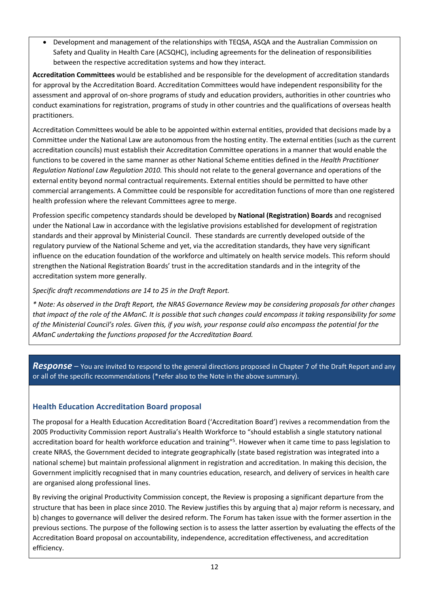Development and management of the relationships with TEQSA, ASQA and the Australian Commission on Safety and Quality in Health Care (ACSQHC), including agreements for the delineation of responsibilities between the respective accreditation systems and how they interact.

**Accreditation Committees** would be established and be responsible for the development of accreditation standards for approval by the Accreditation Board. Accreditation Committees would have independent responsibility for the assessment and approval of on-shore programs of study and education providers, authorities in other countries who conduct examinations for registration, programs of study in other countries and the qualifications of overseas health practitioners.

Accreditation Committees would be able to be appointed within external entities, provided that decisions made by a Committee under the National Law are autonomous from the hosting entity. The external entities (such as the current accreditation councils) must establish their Accreditation Committee operations in a manner that would enable the functions to be covered in the same manner as other National Scheme entities defined in the *Health Practitioner Regulation National Law Regulation 2010.* This should not relate to the general governance and operations of the external entity beyond normal contractual requirements. External entities should be permitted to have other commercial arrangements. A Committee could be responsible for accreditation functions of more than one registered health profession where the relevant Committees agree to merge.

Profession specific competency standards should be developed by **National (Registration) Boards** and recognised under the National Law in accordance with the legislative provisions established for development of registration standards and their approval by Ministerial Council. These standards are currently developed outside of the regulatory purview of the National Scheme and yet, via the accreditation standards, they have very significant influence on the education foundation of the workforce and ultimately on health service models. This reform should strengthen the National Registration Boards' trust in the accreditation standards and in the integrity of the accreditation system more generally.

*Specific draft recommendations are 14 to 25 in the Draft Report.*

*\* Note: As observed in the Draft Report, the NRAS Governance Review may be considering proposals for other changes that impact of the role of the AManC. It is possible that such changes could encompass it taking responsibility for some of the Ministerial Council's roles. Given this, if you wish, your response could also encompass the potential for the AManC undertaking the functions proposed for the Accreditation Board.* 

*Response –* You are invited to respond to the general directions proposed in Chapter 7 of the Draft Report and any or all of the specific recommendations (\*refer also to the Note in the above summary).

# **Health Education Accreditation Board proposal**

The proposal for a Health Education Accreditation Board ('Accreditation Board') revives a recommendation from the 2005 Productivity Commission report Australia's Health Workforce to "should establish a single statutory national accreditation board for health workforce education and training"<sup>5</sup>. However when it came time to pass legislation to create NRAS, the Government decided to integrate geographically (state based registration was integrated into a national scheme) but maintain professional alignment in registration and accreditation. In making this decision, the Government implicitly recognised that in many countries education, research, and delivery of services in health care are organised along professional lines.

By reviving the original Productivity Commission concept, the Review is proposing a significant departure from the structure that has been in place since 2010. The Review justifies this by arguing that a) major reform is necessary, and b) changes to governance will deliver the desired reform. The Forum has taken issue with the former assertion in the previous sections. The purpose of the following section is to assess the latter assertion by evaluating the effects of the Accreditation Board proposal on accountability, independence, accreditation effectiveness, and accreditation efficiency.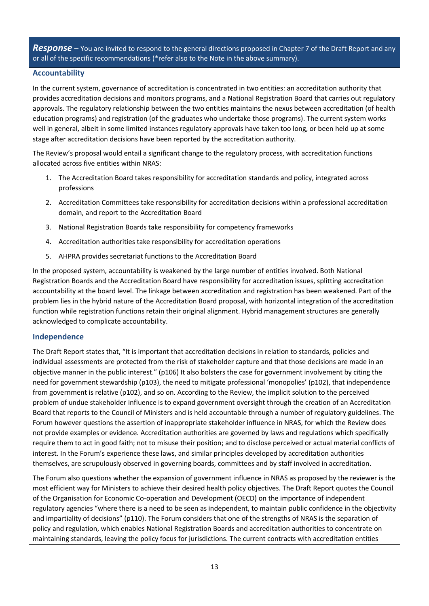#### **Accountability**

In the current system, governance of accreditation is concentrated in two entities: an accreditation authority that provides accreditation decisions and monitors programs, and a National Registration Board that carries out regulatory approvals. The regulatory relationship between the two entities maintains the nexus between accreditation (of health education programs) and registration (of the graduates who undertake those programs). The current system works well in general, albeit in some limited instances regulatory approvals have taken too long, or been held up at some stage after accreditation decisions have been reported by the accreditation authority.

The Review's proposal would entail a significant change to the regulatory process, with accreditation functions allocated across five entities within NRAS:

- 1. The Accreditation Board takes responsibility for accreditation standards and policy, integrated across professions
- 2. Accreditation Committees take responsibility for accreditation decisions within a professional accreditation domain, and report to the Accreditation Board
- 3. National Registration Boards take responsibility for competency frameworks
- 4. Accreditation authorities take responsibility for accreditation operations
- 5. AHPRA provides secretariat functions to the Accreditation Board

In the proposed system, accountability is weakened by the large number of entities involved. Both National Registration Boards and the Accreditation Board have responsibility for accreditation issues, splitting accreditation accountability at the board level. The linkage between accreditation and registration has been weakened. Part of the problem lies in the hybrid nature of the Accreditation Board proposal, with horizontal integration of the accreditation function while registration functions retain their original alignment. Hybrid management structures are generally acknowledged to complicate accountability.

### **Independence**

The Draft Report states that, "It is important that accreditation decisions in relation to standards, policies and individual assessments are protected from the risk of stakeholder capture and that those decisions are made in an objective manner in the public interest." (p106) It also bolsters the case for government involvement by citing the need for government stewardship (p103), the need to mitigate professional 'monopolies' (p102), that independence from government is relative (p102), and so on. According to the Review, the implicit solution to the perceived problem of undue stakeholder influence is to expand government oversight through the creation of an Accreditation Board that reports to the Council of Ministers and is held accountable through a number of regulatory guidelines. The Forum however questions the assertion of inappropriate stakeholder influence in NRAS, for which the Review does not provide examples or evidence. Accreditation authorities are governed by laws and regulations which specifically require them to act in good faith; not to misuse their position; and to disclose perceived or actual material conflicts of interest. In the Forum's experience these laws, and similar principles developed by accreditation authorities themselves, are scrupulously observed in governing boards, committees and by staff involved in accreditation.

The Forum also questions whether the expansion of government influence in NRAS as proposed by the reviewer is the most efficient way for Ministers to achieve their desired health policy objectives. The Draft Report quotes the Council of the Organisation for Economic Co-operation and Development (OECD) on the importance of independent regulatory agencies "where there is a need to be seen as independent, to maintain public confidence in the objectivity and impartiality of decisions" (p110). The Forum considers that one of the strengths of NRAS is the separation of policy and regulation, which enables National Registration Boards and accreditation authorities to concentrate on maintaining standards, leaving the policy focus for jurisdictions. The current contracts with accreditation entities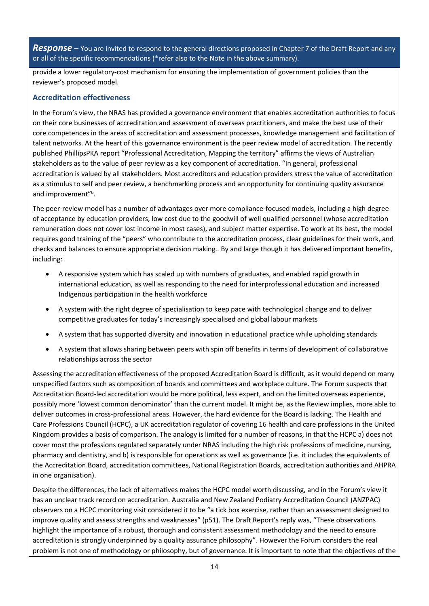provide a lower regulatory-cost mechanism for ensuring the implementation of government policies than the reviewer's proposed model.

## **Accreditation effectiveness**

In the Forum's view, the NRAS has provided a governance environment that enables accreditation authorities to focus on their core businesses of accreditation and assessment of overseas practitioners, and make the best use of their core competences in the areas of accreditation and assessment processes, knowledge management and facilitation of talent networks. At the heart of this governance environment is the peer review model of accreditation. The recently published PhillipsPKA report "Professional Accreditation, Mapping the territory" affirms the views of Australian stakeholders as to the value of peer review as a key component of accreditation. "In general, professional accreditation is valued by all stakeholders. Most accreditors and education providers stress the value of accreditation as a stimulus to self and peer review, a benchmarking process and an opportunity for continuing quality assurance and improvement"<sup>6</sup>.

The peer-review model has a number of advantages over more compliance-focused models, including a high degree of acceptance by education providers, low cost due to the goodwill of well qualified personnel (whose accreditation remuneration does not cover lost income in most cases), and subject matter expertise. To work at its best, the model requires good training of the "peers" who contribute to the accreditation process, clear guidelines for their work, and checks and balances to ensure appropriate decision making.. By and large though it has delivered important benefits, including:

- A responsive system which has scaled up with numbers of graduates, and enabled rapid growth in international education, as well as responding to the need for interprofessional education and increased Indigenous participation in the health workforce
- A system with the right degree of specialisation to keep pace with technological change and to deliver competitive graduates for today's increasingly specialised and global labour markets
- A system that has supported diversity and innovation in educational practice while upholding standards
- A system that allows sharing between peers with spin off benefits in terms of development of collaborative relationships across the sector

Assessing the accreditation effectiveness of the proposed Accreditation Board is difficult, as it would depend on many unspecified factors such as composition of boards and committees and workplace culture. The Forum suspects that Accreditation Board-led accreditation would be more political, less expert, and on the limited overseas experience, possibly more 'lowest common denominator' than the current model. It might be, as the Review implies, more able to deliver outcomes in cross-professional areas. However, the hard evidence for the Board is lacking. The Health and Care Professions Council (HCPC), a UK accreditation regulator of covering 16 health and care professions in the United Kingdom provides a basis of comparison. The analogy is limited for a number of reasons, in that the HCPC a) does not cover most the professions regulated separately under NRAS including the high risk professions of medicine, nursing, pharmacy and dentistry, and b) is responsible for operations as well as governance (i.e. it includes the equivalents of the Accreditation Board, accreditation committees, National Registration Boards, accreditation authorities and AHPRA in one organisation).

Despite the differences, the lack of alternatives makes the HCPC model worth discussing, and in the Forum's view it has an unclear track record on accreditation. Australia and New Zealand Podiatry Accreditation Council (ANZPAC) observers on a HCPC monitoring visit considered it to be "a tick box exercise, rather than an assessment designed to improve quality and assess strengths and weaknesses" (p51). The Draft Report's reply was, "These observations highlight the importance of a robust, thorough and consistent assessment methodology and the need to ensure accreditation is strongly underpinned by a quality assurance philosophy". However the Forum considers the real problem is not one of methodology or philosophy, but of governance. It is important to note that the objectives of the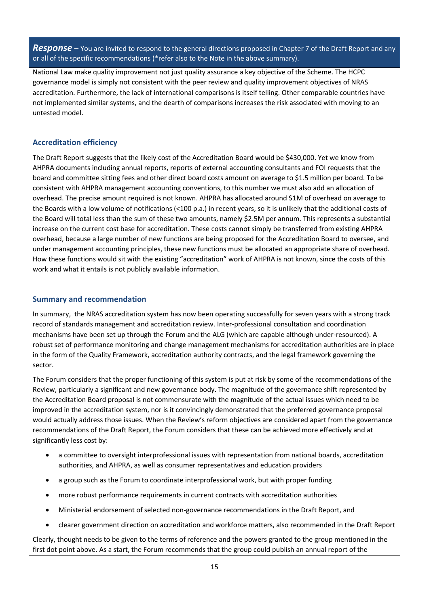National Law make quality improvement not just quality assurance a key objective of the Scheme. The HCPC governance model is simply not consistent with the peer review and quality improvement objectives of NRAS accreditation. Furthermore, the lack of international comparisons is itself telling. Other comparable countries have not implemented similar systems, and the dearth of comparisons increases the risk associated with moving to an untested model.

## **Accreditation efficiency**

The Draft Report suggests that the likely cost of the Accreditation Board would be \$430,000. Yet we know from AHPRA documents including annual reports, reports of external accounting consultants and FOI requests that the board and committee sitting fees and other direct board costs amount on average to \$1.5 million per board. To be consistent with AHPRA management accounting conventions, to this number we must also add an allocation of overhead. The precise amount required is not known. AHPRA has allocated around \$1M of overhead on average to the Boards with a low volume of notifications (<100 p.a.) in recent years, so it is unlikely that the additional costs of the Board will total less than the sum of these two amounts, namely \$2.5M per annum. This represents a substantial increase on the current cost base for accreditation. These costs cannot simply be transferred from existing AHPRA overhead, because a large number of new functions are being proposed for the Accreditation Board to oversee, and under management accounting principles, these new functions must be allocated an appropriate share of overhead. How these functions would sit with the existing "accreditation" work of AHPRA is not known, since the costs of this work and what it entails is not publicly available information.

### **Summary and recommendation**

In summary, the NRAS accreditation system has now been operating successfully for seven years with a strong track record of standards management and accreditation review. Inter-professional consultation and coordination mechanisms have been set up through the Forum and the ALG (which are capable although under-resourced). A robust set of performance monitoring and change management mechanisms for accreditation authorities are in place in the form of the Quality Framework, accreditation authority contracts, and the legal framework governing the sector.

The Forum considers that the proper functioning of this system is put at risk by some of the recommendations of the Review, particularly a significant and new governance body. The magnitude of the governance shift represented by the Accreditation Board proposal is not commensurate with the magnitude of the actual issues which need to be improved in the accreditation system, nor is it convincingly demonstrated that the preferred governance proposal would actually address those issues. When the Review's reform objectives are considered apart from the governance recommendations of the Draft Report, the Forum considers that these can be achieved more effectively and at significantly less cost by:

- a committee to oversight interprofessional issues with representation from national boards, accreditation authorities, and AHPRA, as well as consumer representatives and education providers
- a group such as the Forum to coordinate interprofessional work, but with proper funding
- more robust performance requirements in current contracts with accreditation authorities
- Ministerial endorsement of selected non-governance recommendations in the Draft Report, and
- clearer government direction on accreditation and workforce matters, also recommended in the Draft Report

Clearly, thought needs to be given to the terms of reference and the powers granted to the group mentioned in the first dot point above. As a start, the Forum recommends that the group could publish an annual report of the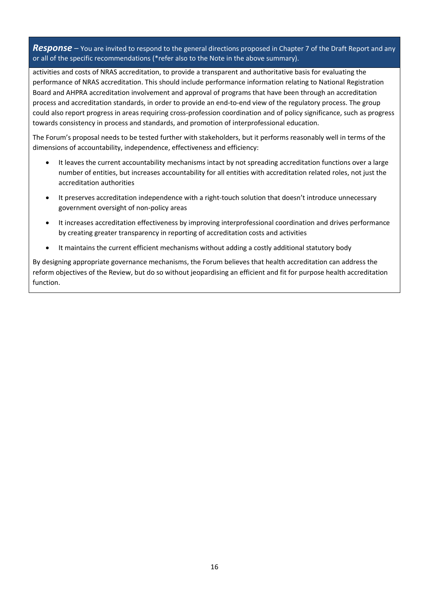activities and costs of NRAS accreditation, to provide a transparent and authoritative basis for evaluating the performance of NRAS accreditation. This should include performance information relating to National Registration Board and AHPRA accreditation involvement and approval of programs that have been through an accreditation process and accreditation standards, in order to provide an end-to-end view of the regulatory process. The group could also report progress in areas requiring cross-profession coordination and of policy significance, such as progress towards consistency in process and standards, and promotion of interprofessional education.

The Forum's proposal needs to be tested further with stakeholders, but it performs reasonably well in terms of the dimensions of accountability, independence, effectiveness and efficiency:

- It leaves the current accountability mechanisms intact by not spreading accreditation functions over a large number of entities, but increases accountability for all entities with accreditation related roles, not just the accreditation authorities
- It preserves accreditation independence with a right-touch solution that doesn't introduce unnecessary government oversight of non-policy areas
- It increases accreditation effectiveness by improving interprofessional coordination and drives performance by creating greater transparency in reporting of accreditation costs and activities
- It maintains the current efficient mechanisms without adding a costly additional statutory body

By designing appropriate governance mechanisms, the Forum believes that health accreditation can address the reform objectives of the Review, but do so without jeopardising an efficient and fit for purpose health accreditation function.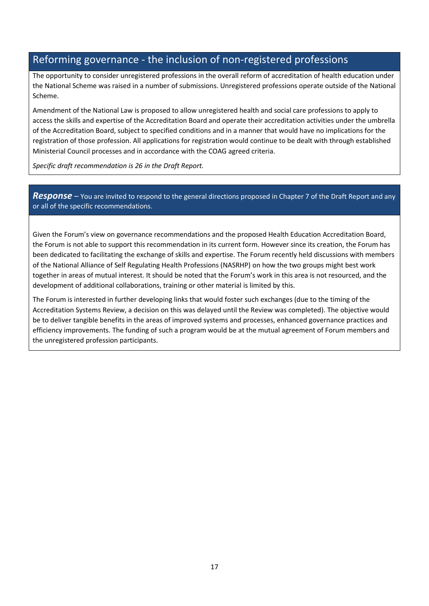# Reforming governance - the inclusion of non-registered professions

The opportunity to consider unregistered professions in the overall reform of accreditation of health education under the National Scheme was raised in a number of submissions. Unregistered professions operate outside of the National Scheme.

Amendment of the National Law is proposed to allow unregistered health and social care professions to apply to access the skills and expertise of the Accreditation Board and operate their accreditation activities under the umbrella of the Accreditation Board, subject to specified conditions and in a manner that would have no implications for the registration of those profession. All applications for registration would continue to be dealt with through established Ministerial Council processes and in accordance with the COAG agreed criteria.

*Specific draft recommendation is 26 in the Draft Report.*

# *Response –* You are invited to respond to the general directions proposed in Chapter 7 of the Draft Report and any or all of the specific recommendations.

Given the Forum's view on governance recommendations and the proposed Health Education Accreditation Board, the Forum is not able to support this recommendation in its current form. However since its creation, the Forum has been dedicated to facilitating the exchange of skills and expertise. The Forum recently held discussions with members of the National Alliance of Self Regulating Health Professions (NASRHP) on how the two groups might best work together in areas of mutual interest. It should be noted that the Forum's work in this area is not resourced, and the development of additional collaborations, training or other material is limited by this.

The Forum is interested in further developing links that would foster such exchanges (due to the timing of the Accreditation Systems Review, a decision on this was delayed until the Review was completed). The objective would be to deliver tangible benefits in the areas of improved systems and processes, enhanced governance practices and efficiency improvements. The funding of such a program would be at the mutual agreement of Forum members and the unregistered profession participants.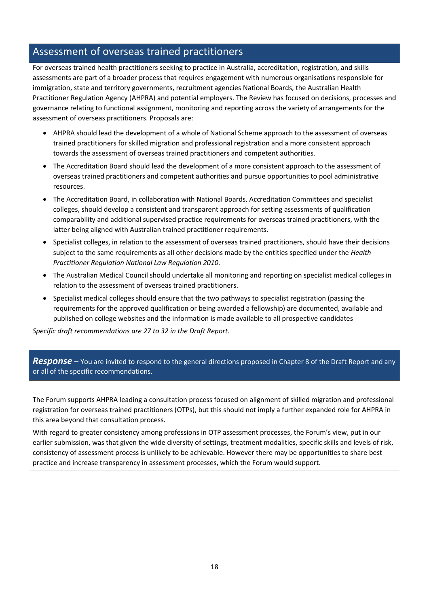# Assessment of overseas trained practitioners

For overseas trained health practitioners seeking to practice in Australia, accreditation, registration, and skills assessments are part of a broader process that requires engagement with numerous organisations responsible for immigration, state and territory governments, recruitment agencies National Boards, the Australian Health Practitioner Regulation Agency (AHPRA) and potential employers. The Review has focused on decisions, processes and governance relating to functional assignment, monitoring and reporting across the variety of arrangements for the assessment of overseas practitioners. Proposals are:

- AHPRA should lead the development of a whole of National Scheme approach to the assessment of overseas trained practitioners for skilled migration and professional registration and a more consistent approach towards the assessment of overseas trained practitioners and competent authorities.
- The Accreditation Board should lead the development of a more consistent approach to the assessment of overseas trained practitioners and competent authorities and pursue opportunities to pool administrative resources.
- The Accreditation Board, in collaboration with National Boards, Accreditation Committees and specialist colleges, should develop a consistent and transparent approach for setting assessments of qualification comparability and additional supervised practice requirements for overseas trained practitioners, with the latter being aligned with Australian trained practitioner requirements.
- Specialist colleges, in relation to the assessment of overseas trained practitioners, should have their decisions subject to the same requirements as all other decisions made by the entities specified under the *Health Practitioner Regulation National Law Regulation 2010.*
- The Australian Medical Council should undertake all monitoring and reporting on specialist medical colleges in relation to the assessment of overseas trained practitioners.
- Specialist medical colleges should ensure that the two pathways to specialist registration (passing the requirements for the approved qualification or being awarded a fellowship) are documented, available and published on college websites and the information is made available to all prospective candidates

*Specific draft recommendations are 27 to 32 in the Draft Report.*

### *Response* – You are invited to respond to the general directions proposed in Chapter 8 of the Draft Report and any or all of the specific recommendations.

The Forum supports AHPRA leading a consultation process focused on alignment of skilled migration and professional registration for overseas trained practitioners (OTPs), but this should not imply a further expanded role for AHPRA in this area beyond that consultation process.

With regard to greater consistency among professions in OTP assessment processes, the Forum's view, put in our earlier submission, was that given the wide diversity of settings, treatment modalities, specific skills and levels of risk, consistency of assessment process is unlikely to be achievable. However there may be opportunities to share best practice and increase transparency in assessment processes, which the Forum would support.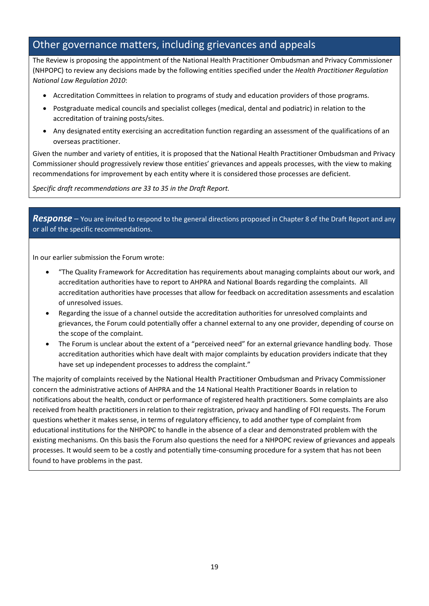# Other governance matters, including grievances and appeals

The Review is proposing the appointment of the National Health Practitioner Ombudsman and Privacy Commissioner (NHPOPC) to review any decisions made by the following entities specified under the *Health Practitioner Regulation National Law Regulation 2010*:

- Accreditation Committees in relation to programs of study and education providers of those programs.
- Postgraduate medical councils and specialist colleges (medical, dental and podiatric) in relation to the accreditation of training posts/sites.
- Any designated entity exercising an accreditation function regarding an assessment of the qualifications of an overseas practitioner.

Given the number and variety of entities, it is proposed that the National Health Practitioner Ombudsman and Privacy Commissioner should progressively review those entities' grievances and appeals processes, with the view to making recommendations for improvement by each entity where it is considered those processes are deficient.

*Specific draft recommendations are 33 to 35 in the Draft Report.*

*Response –* You are invited to respond to the general directions proposed in Chapter 8 of the Draft Report and any or all of the specific recommendations.

In our earlier submission the Forum wrote:

- "The Quality Framework for Accreditation has requirements about managing complaints about our work, and accreditation authorities have to report to AHPRA and National Boards regarding the complaints. All accreditation authorities have processes that allow for feedback on accreditation assessments and escalation of unresolved issues.
- Regarding the issue of a channel outside the accreditation authorities for unresolved complaints and grievances, the Forum could potentially offer a channel external to any one provider, depending of course on the scope of the complaint.
- The Forum is unclear about the extent of a "perceived need" for an external grievance handling body. Those accreditation authorities which have dealt with major complaints by education providers indicate that they have set up independent processes to address the complaint."

The majority of complaints received by the National Health Practitioner Ombudsman and Privacy Commissioner concern the administrative actions of AHPRA and the 14 National Health Practitioner Boards in relation to notifications about the health, conduct or performance of registered health practitioners. Some complaints are also received from health practitioners in relation to their registration, privacy and handling of FOI requests. The Forum questions whether it makes sense, in terms of regulatory efficiency, to add another type of complaint from educational institutions for the NHPOPC to handle in the absence of a clear and demonstrated problem with the existing mechanisms. On this basis the Forum also questions the need for a NHPOPC review of grievances and appeals processes. It would seem to be a costly and potentially time-consuming procedure for a system that has not been found to have problems in the past.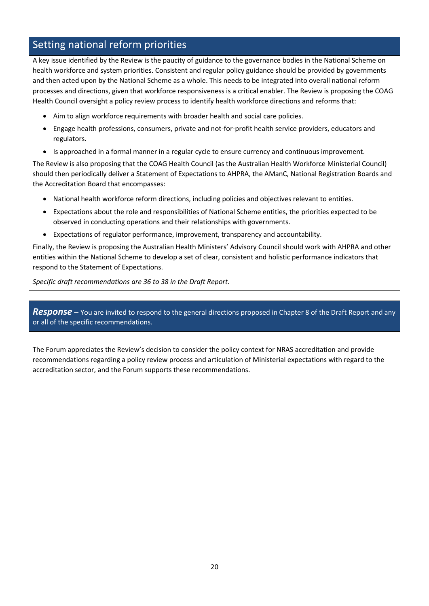# Setting national reform priorities

A key issue identified by the Review is the paucity of guidance to the governance bodies in the National Scheme on health workforce and system priorities. Consistent and regular policy guidance should be provided by governments and then acted upon by the National Scheme as a whole. This needs to be integrated into overall national reform processes and directions, given that workforce responsiveness is a critical enabler. The Review is proposing the COAG Health Council oversight a policy review process to identify health workforce directions and reforms that:

- Aim to align workforce requirements with broader health and social care policies.
- Engage health professions, consumers, private and not-for-profit health service providers, educators and regulators.
- Is approached in a formal manner in a regular cycle to ensure currency and continuous improvement.

The Review is also proposing that the COAG Health Council (as the Australian Health Workforce Ministerial Council) should then periodically deliver a Statement of Expectations to AHPRA, the AManC, National Registration Boards and the Accreditation Board that encompasses:

- National health workforce reform directions, including policies and objectives relevant to entities.
- Expectations about the role and responsibilities of National Scheme entities, the priorities expected to be observed in conducting operations and their relationships with governments.
- Expectations of regulator performance, improvement, transparency and accountability.

Finally, the Review is proposing the Australian Health Ministers' Advisory Council should work with AHPRA and other entities within the National Scheme to develop a set of clear, consistent and holistic performance indicators that respond to the Statement of Expectations.

*Specific draft recommendations are 36 to 38 in the Draft Report.*

*Response –* You are invited to respond to the general directions proposed in Chapter 8 of the Draft Report and any or all of the specific recommendations.

The Forum appreciates the Review's decision to consider the policy context for NRAS accreditation and provide recommendations regarding a policy review process and articulation of Ministerial expectations with regard to the accreditation sector, and the Forum supports these recommendations.